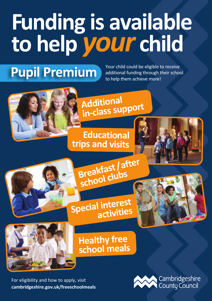## **Funding is available to help** *your* **child**

**Pupil Premium**

Your child could be eligible to receive additional funding through their school to help them achieve more!





**Educational trips and visits**



**Breakfast/after school clubs**

## **Specia<sup>l</sup> interest activities**



**Healthy free school meals**

**[cambridgeshire.gov.uk/freeschoolmeals](http://www.cambridgeshire.gov.uk/freeschoolmeals)** For eligibility and how to apply, visit